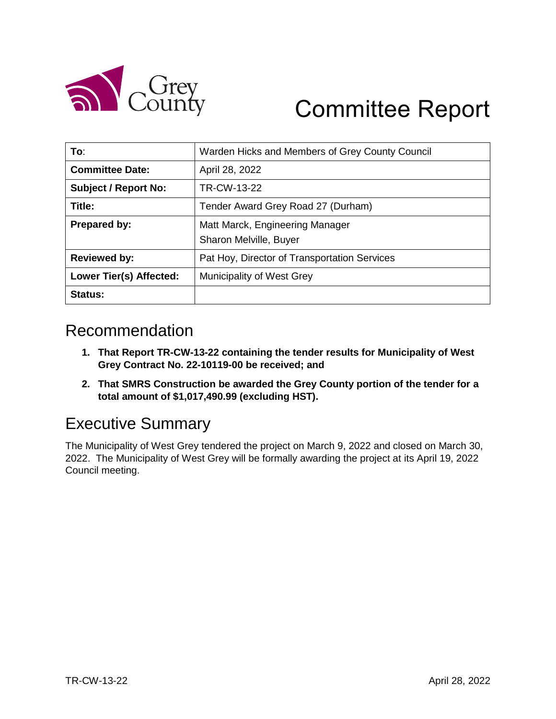

# Committee Report

| To:                         | Warden Hicks and Members of Grey County Council |  |
|-----------------------------|-------------------------------------------------|--|
| <b>Committee Date:</b>      | April 28, 2022                                  |  |
| <b>Subject / Report No:</b> | TR-CW-13-22                                     |  |
| Title:                      | Tender Award Grey Road 27 (Durham)              |  |
| Prepared by:                | Matt Marck, Engineering Manager                 |  |
|                             | Sharon Melville, Buyer                          |  |
| <b>Reviewed by:</b>         | Pat Hoy, Director of Transportation Services    |  |
| Lower Tier(s) Affected:     | Municipality of West Grey                       |  |
| <b>Status:</b>              |                                                 |  |

#### Recommendation

- **1. That Report TR-CW-13-22 containing the tender results for Municipality of West Grey Contract No. 22-10119-00 be received; and**
- **2. That SMRS Construction be awarded the Grey County portion of the tender for a total amount of \$1,017,490.99 (excluding HST).**

## Executive Summary

The Municipality of West Grey tendered the project on March 9, 2022 and closed on March 30, 2022. The Municipality of West Grey will be formally awarding the project at its April 19, 2022 Council meeting.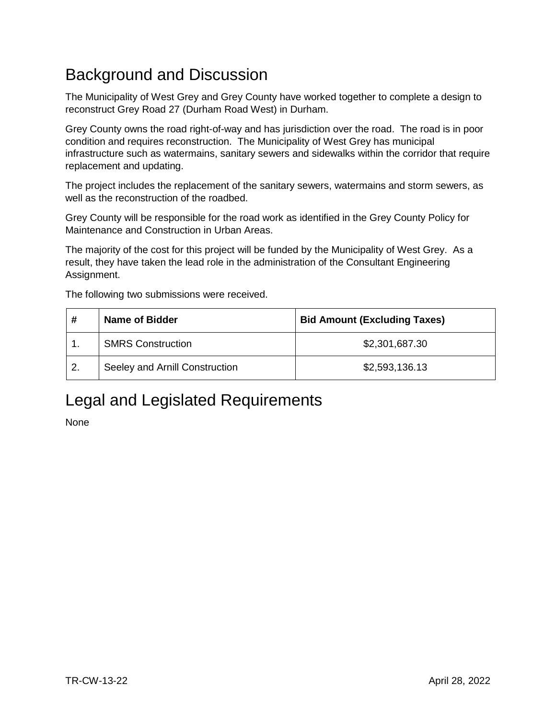## Background and Discussion

The Municipality of West Grey and Grey County have worked together to complete a design to reconstruct Grey Road 27 (Durham Road West) in Durham.

Grey County owns the road right-of-way and has jurisdiction over the road. The road is in poor condition and requires reconstruction. The Municipality of West Grey has municipal infrastructure such as watermains, sanitary sewers and sidewalks within the corridor that require replacement and updating.

The project includes the replacement of the sanitary sewers, watermains and storm sewers, as well as the reconstruction of the roadbed.

Grey County will be responsible for the road work as identified in the Grey County Policy for Maintenance and Construction in Urban Areas.

The majority of the cost for this project will be funded by the Municipality of West Grey. As a result, they have taken the lead role in the administration of the Consultant Engineering Assignment.

The following two submissions were received.

| #  | <b>Name of Bidder</b>          | <b>Bid Amount (Excluding Taxes)</b> |  |
|----|--------------------------------|-------------------------------------|--|
|    | <b>SMRS Construction</b>       | \$2,301,687.30                      |  |
| 2. | Seeley and Arnill Construction | \$2,593,136.13                      |  |

## Legal and Legislated Requirements

None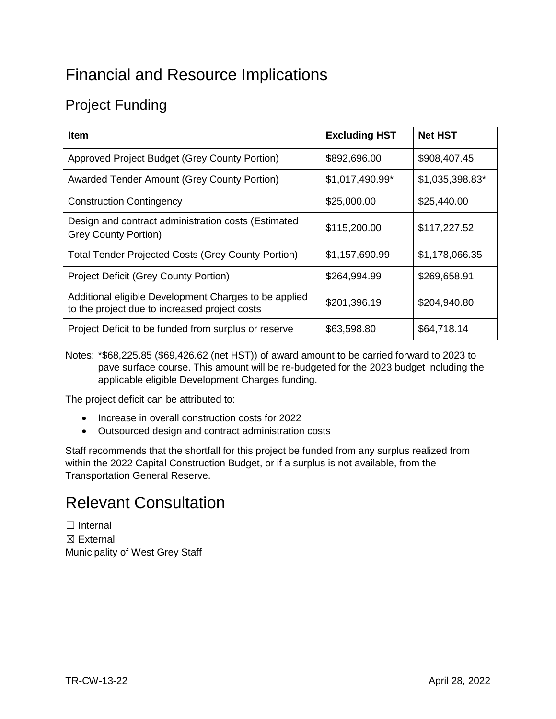## Financial and Resource Implications

## Project Funding

| <b>Item</b>                                                                                            | <b>Excluding HST</b> | <b>Net HST</b>  |
|--------------------------------------------------------------------------------------------------------|----------------------|-----------------|
| Approved Project Budget (Grey County Portion)                                                          | \$892,696.00         | \$908,407.45    |
| <b>Awarded Tender Amount (Grey County Portion)</b>                                                     | \$1,017,490.99*      | \$1,035,398.83* |
| <b>Construction Contingency</b>                                                                        | \$25,000.00          | \$25,440.00     |
| Design and contract administration costs (Estimated<br><b>Grey County Portion)</b>                     | \$115,200.00         | \$117,227.52    |
| <b>Total Tender Projected Costs (Grey County Portion)</b>                                              | \$1,157,690.99       | \$1,178,066.35  |
| <b>Project Deficit (Grey County Portion)</b>                                                           | \$264,994.99         | \$269,658.91    |
| Additional eligible Development Charges to be applied<br>to the project due to increased project costs | \$201,396.19         | \$204,940.80    |
| Project Deficit to be funded from surplus or reserve                                                   | \$63,598.80          | \$64,718.14     |

Notes: \*\$68,225.85 (\$69,426.62 (net HST)) of award amount to be carried forward to 2023 to pave surface course. This amount will be re-budgeted for the 2023 budget including the applicable eligible Development Charges funding.

The project deficit can be attributed to:

- Increase in overall construction costs for 2022
- Outsourced design and contract administration costs

Staff recommends that the shortfall for this project be funded from any surplus realized from within the 2022 Capital Construction Budget, or if a surplus is not available, from the Transportation General Reserve.

#### Relevant Consultation

□ Internal ☒ External Municipality of West Grey Staff